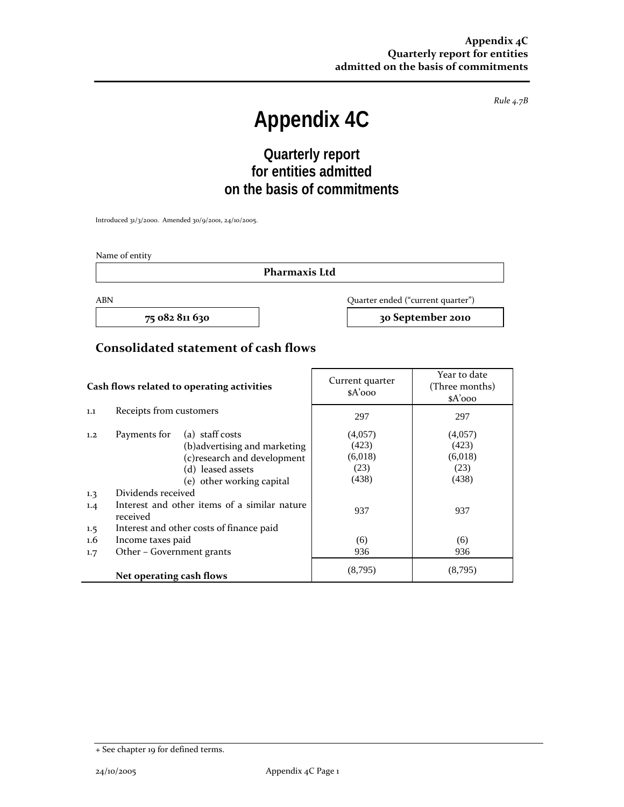*Rule 4.7B*

# **Appendix 4C**

## **Quarterly report for entities admitted on the basis of commitments**

Introduced 31/3/2000. Amended 30/9/2001, 24/10/2005.

Name of entity

**Pharmaxis Ltd**

ABN Quarter ended ("current quarter")

**75 082 811 630 30 September 2010**

#### **Consolidated statement of cash flows**

| Cash flows related to operating activities |                                                          | Current quarter<br>$A'$ 000   | Year to date<br>(Three months)<br>$A'$ 000 |         |
|--------------------------------------------|----------------------------------------------------------|-------------------------------|--------------------------------------------|---------|
| 1.1                                        | Receipts from customers                                  |                               | 297                                        | 297     |
| 1,2                                        | Payments for                                             | (a) staff costs               | (4,057)                                    | (4,057) |
|                                            |                                                          | (b) advertising and marketing | (423)                                      | (423)   |
|                                            |                                                          | (c) research and development  | (6,018)                                    | (6,018) |
|                                            |                                                          | (d) leased assets             | (23)                                       | (23)    |
|                                            |                                                          | (e) other working capital     | (438)                                      | (438)   |
| 1.3                                        | Dividends received                                       |                               |                                            |         |
| 1.4                                        | Interest and other items of a similar nature<br>received |                               | 937                                        | 937     |
| $1.5\phantom{0}$                           | Interest and other costs of finance paid                 |                               |                                            |         |
| $1.6\,$                                    | Income taxes paid                                        |                               | (6)                                        | (6)     |
| 1.7                                        | Other – Government grants                                |                               | 936                                        | 936     |
|                                            | Net operating cash flows                                 |                               | (8,795)                                    | (8,795) |

<sup>+</sup> See chapter 19 for defined terms.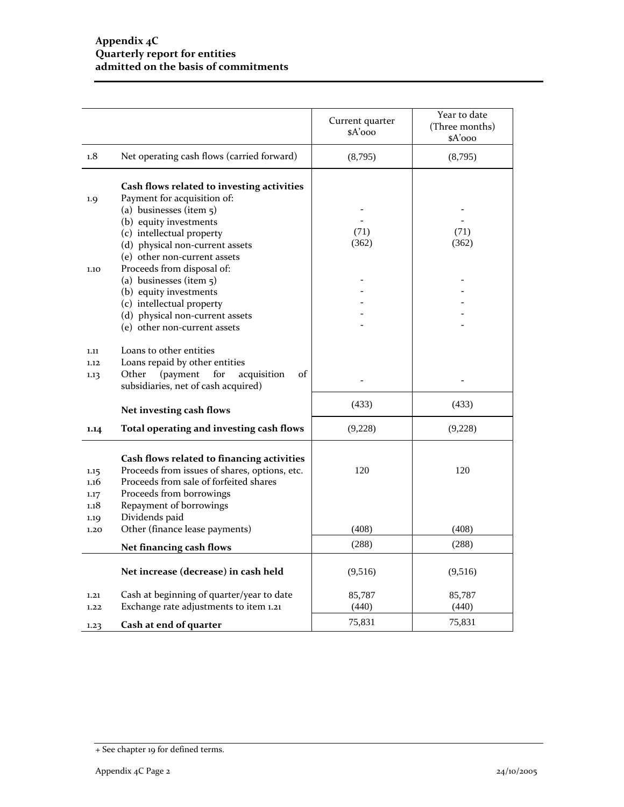|                                      |                                                                                                                                                                                                                | Current quarter<br>$A'$ 000 | Year to date<br>(Three months)<br>\$A'ooo |
|--------------------------------------|----------------------------------------------------------------------------------------------------------------------------------------------------------------------------------------------------------------|-----------------------------|-------------------------------------------|
| 1.8                                  | Net operating cash flows (carried forward)                                                                                                                                                                     | (8,795)                     | (8,795)                                   |
| 1.9                                  | Cash flows related to investing activities<br>Payment for acquisition of:                                                                                                                                      |                             |                                           |
|                                      | (a) businesses (item $5$ )                                                                                                                                                                                     |                             |                                           |
|                                      | (b) equity investments                                                                                                                                                                                         |                             |                                           |
|                                      | (c) intellectual property                                                                                                                                                                                      | (71)<br>(362)               | (71)<br>(362)                             |
|                                      | (d) physical non-current assets<br>(e) other non-current assets                                                                                                                                                |                             |                                           |
| 1.10                                 | Proceeds from disposal of:                                                                                                                                                                                     |                             |                                           |
|                                      | (a) businesses (item $5$ )                                                                                                                                                                                     |                             |                                           |
|                                      | (b) equity investments                                                                                                                                                                                         |                             |                                           |
|                                      | (c) intellectual property                                                                                                                                                                                      |                             |                                           |
|                                      | (d) physical non-current assets                                                                                                                                                                                |                             |                                           |
|                                      | (e) other non-current assets                                                                                                                                                                                   |                             |                                           |
| 1,11                                 | Loans to other entities                                                                                                                                                                                        |                             |                                           |
| 1.12                                 | Loans repaid by other entities                                                                                                                                                                                 |                             |                                           |
| 1.13                                 | (payment<br>of<br>Other<br>for<br>acquisition                                                                                                                                                                  |                             |                                           |
|                                      | subsidiaries, net of cash acquired)                                                                                                                                                                            |                             |                                           |
|                                      | Net investing cash flows                                                                                                                                                                                       | (433)                       | (433)                                     |
| 1.14                                 | Total operating and investing cash flows                                                                                                                                                                       | (9,228)                     | (9,228)                                   |
| 1.15<br>1.16<br>1.17<br>1.18<br>1.19 | Cash flows related to financing activities<br>Proceeds from issues of shares, options, etc.<br>Proceeds from sale of forfeited shares<br>Proceeds from borrowings<br>Repayment of borrowings<br>Dividends paid | 120                         | 120                                       |
| 1.20                                 | Other (finance lease payments)                                                                                                                                                                                 | (408)                       | (408)                                     |
|                                      | Net financing cash flows                                                                                                                                                                                       | (288)                       | (288)                                     |
|                                      | Net increase (decrease) in cash held                                                                                                                                                                           | (9,516)                     | (9,516)                                   |
| 1.21                                 | Cash at beginning of quarter/year to date                                                                                                                                                                      | 85,787                      | 85,787                                    |
| 1.22                                 | Exchange rate adjustments to item 1.21                                                                                                                                                                         | (440)                       | (440)                                     |
| 1.23                                 | Cash at end of quarter                                                                                                                                                                                         | 75,831                      | 75,831                                    |

<sup>+</sup> See chapter 19 for defined terms.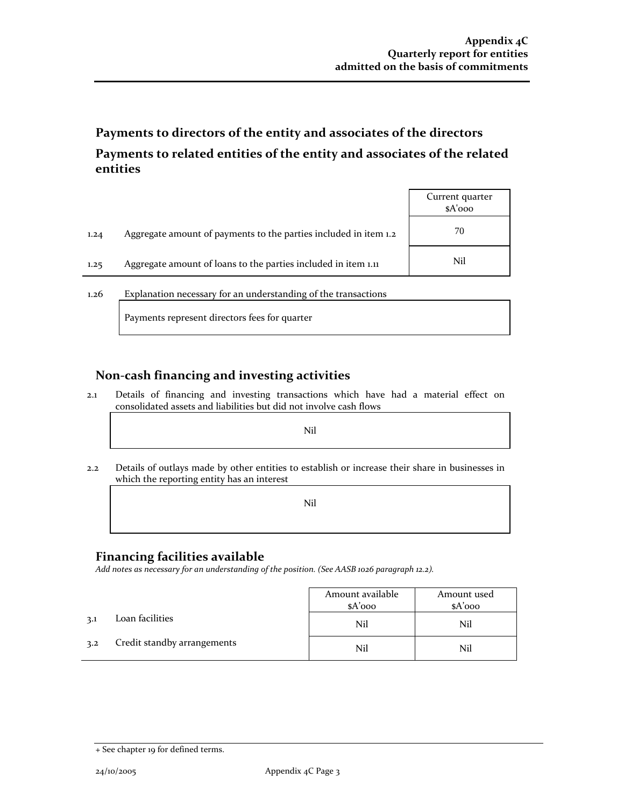### **Payments to directors of the entity and associates of the directors Payments to related entities of the entity and associates of the related entities**

|      |                                                                  | Current quarter<br>$A'$ ooo |
|------|------------------------------------------------------------------|-----------------------------|
| 1.24 | Aggregate amount of payments to the parties included in item 1.2 | 70                          |
| 1.25 | Aggregate amount of loans to the parties included in item 1.11   | Nil                         |

1.26 Explanation necessary for an understanding of the transactions

Payments represent directors fees for quarter

#### **Non‐cash financing and investing activities**

2.1 Details of financing and investing transactions which have had a material effect on consolidated assets and liabilities but did not involve cash flows

the contract of the contract of the contract of the contract of the contract of the contract of Nil

2.2 Details of outlays made by other entities to establish or increase their share in businesses in which the reporting entity has an interest

the contract of the contract of the contract of the contract of the contract of the contract of Nil

#### **Financing facilities available**

*Add notes as necessary for an understanding of the position. (See AASB 1026 paragraph 12.2).*

|     |                             | Amount available | Amount used |
|-----|-----------------------------|------------------|-------------|
|     |                             | \$A'ooo          | $A'$ 000    |
| 3.1 | Loan facilities             | Nil              | Nil         |
| 3.2 | Credit standby arrangements | Nil              | Nil         |

<sup>+</sup> See chapter 19 for defined terms.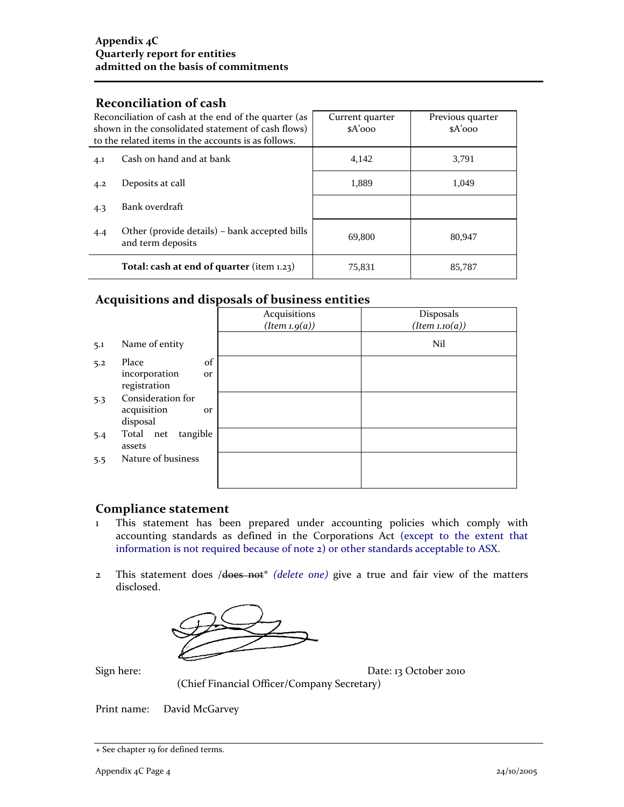#### **Reconciliation of cash**

| Reconciliation of cash at the end of the quarter (as<br>shown in the consolidated statement of cash flows)<br>to the related items in the accounts is as follows. |                                                                    | Current quarter<br>$A'$ 000 | Previous quarter<br>$A'$ 000 |
|-------------------------------------------------------------------------------------------------------------------------------------------------------------------|--------------------------------------------------------------------|-----------------------------|------------------------------|
| 4.1                                                                                                                                                               | Cash on hand and at bank                                           | 4,142                       | 3.791                        |
| 4.2                                                                                                                                                               | Deposits at call                                                   | 1,889                       | 1.049                        |
| 4.3                                                                                                                                                               | Bank overdraft                                                     |                             |                              |
| 4.4                                                                                                                                                               | Other (provide details) – bank accepted bills<br>and term deposits | 69,800                      | 80,947                       |
|                                                                                                                                                                   | Total: cash at end of quarter (item $1.23$ )                       | 75,831                      | 85,787                       |

#### **Acquisitions and disposals of business entities**

|     |                                                           | Acquisitions<br>(Item 1.9(a)) | Disposals<br>(Item 1.10(a)) |
|-----|-----------------------------------------------------------|-------------------------------|-----------------------------|
| 5.1 | Name of entity                                            |                               | Nil                         |
| 5.2 | of<br>Place<br>incorporation<br><b>Or</b><br>registration |                               |                             |
| 5.3 | Consideration for<br>acquisition<br><b>Or</b><br>disposal |                               |                             |
| 5.4 | tangible<br>Total net<br>assets                           |                               |                             |
| 5.5 | Nature of business                                        |                               |                             |

#### **Compliance statement**

- 1 This statement has been prepared under accounting policies which comply with accounting standards as defined in the Corporations Act (except to the extent that information is not required because of note 2) or other standards acceptable to ASX.
- 2 This statement does /does not\* *(delete one)* give a true and fair view of the matters disclosed.



Sign here: Date: 13 October 2010

(Chief Financial Officer/Company Secretary)

Print name: David McGarvey

<sup>+</sup> See chapter 19 for defined terms.